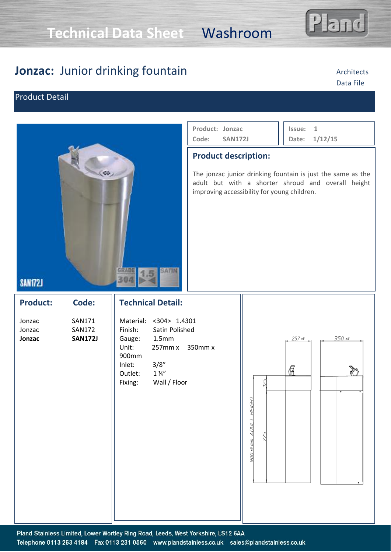# **Technical Data Sheet** Washroom

## **Jonzac:** Junior drinking fountain

### Product Detail



#### **Issue: 1 Date: 1/12/15 Product: Jonzac Code: SAN172J**

### **Product description:**

The jonzac junior drinking fountain is just the same as the adult but with a shorter shroud and overall height improving accessibility for young children.

### **SAN172J**

**Product: Code:** Jonzac SAN171 Jonzac SAN172 **Jonzac SAN172J**

### **Technical Detail:**

Material: <304> 1.4301 Finish: Satin Polished Gauge: 1.5mm Unit: 257mm x 350mm x 900mm Inlet: 3/8" Outlet: 1<sup>1/4"</sup> Fixing: Wall / Floor





### Architects Data File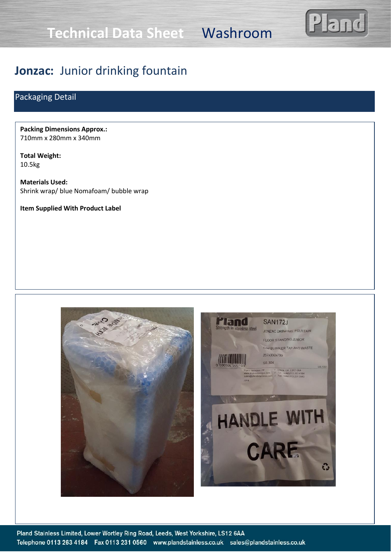**Technical Data Sheet** Washroom



## **Jonzac:** Junior drinking fountain

### Packaging Detail

**Packing Dimensions Approx.:** 710mm x 280mm x 340mm

**Total Weight:** 10.5kg

**Materials Used:** Shrink wrap/ blue Nomafoam/ bubble wrap

**Item Supplied With Product Label**

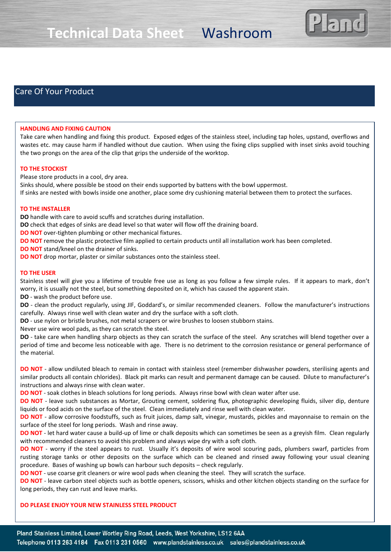

### Care Of Your Product

#### **HANDLING AND FIXING CAUTION**

Take care when handling and fixing this product. Exposed edges of the stainless steel, including tap holes, upstand, overflows and wastes etc. may cause harm if handled without due caution. When using the fixing clips supplied with inset sinks avoid touching the two prongs on the area of the clip that grips the underside of the worktop.

#### **TO THE STOCKIST**

Please store products in a cool, dry area.

Sinks should, where possible be stood on their ends supported by battens with the bowl uppermost. If sinks are nested with bowls inside one another, place some dry cushioning material between them to protect the surfaces.

#### **TO THE INSTALLER**

**DO** handle with care to avoid scuffs and scratches during installation.

**DO** check that edges of sinks are dead level so that water will flow off the draining board.

**DO NOT** over-tighten plumbing or other mechanical fixtures.

**DO NOT** remove the plastic protective film applied to certain products until all installation work has been completed.

**DO NOT** stand/kneel on the drainer of sinks.

**DO NOT** drop mortar, plaster or similar substances onto the stainless steel.

#### **TO THE USER**

Stainless steel will give you a lifetime of trouble free use as long as you follow a few simple rules. If it appears to mark, don't worry, it is usually not the steel, but something deposited on it, which has caused the apparent stain.

**DO** - wash the product before use.

**DO** - clean the product regularly, using JIF, Goddard's, or similar recommended cleaners. Follow the manufacturer's instructions carefully. Always rinse well with clean water and dry the surface with a soft cloth.

**DO** - use nylon or bristle brushes, not metal scrapers or wire brushes to loosen stubborn stains.

Never use wire wool pads, as they can scratch the steel.

**DO** - take care when handling sharp objects as they can scratch the surface of the steel. Any scratches will blend together over a period of time and become less noticeable with age. There is no detriment to the corrosion resistance or general performance of the material.

**DO NOT** - allow undiluted bleach to remain in contact with stainless steel (remember dishwasher powders, sterilising agents and similar products all contain chlorides). Black pit marks can result and permanent damage can be caused. Dilute to manufacturer's instructions and always rinse with clean water.

**DO NOT** - soak clothes in bleach solutions for long periods. Always rinse bowl with clean water after use.

**DO NOT** - leave such substances as Mortar, Grouting cement, soldering flux, photographic developing fluids, silver dip, denture liquids or food acids on the surface of the steel. Clean immediately and rinse well with clean water.

**DO NOT** - allow corrosive foodstuffs, such as fruit juices, damp salt, vinegar, mustards, pickles and mayonnaise to remain on the surface of the steel for long periods. Wash and rinse away.

**DO NOT** - let hard water cause a build-up of lime or chalk deposits which can sometimes be seen as a greyish film. Clean regularly with recommended cleaners to avoid this problem and always wipe dry with a soft cloth.

**DO NOT** - worry if the steel appears to rust. Usually it's deposits of wire wool scouring pads, plumbers swarf, particles from rusting storage tanks or other deposits on the surface which can be cleaned and rinsed away following your usual cleaning procedure. Bases of washing up bowls can harbour such deposits – check regularly.

**DO NOT** - use coarse grit cleaners or wire wool pads when cleaning the steel. They will scratch the surface.

**DO NOT** - leave carbon steel objects such as bottle openers, scissors, whisks and other kitchen objects standing on the surface for long periods, they can rust and leave marks.

#### **DO PLEASE ENJOY YOUR NEW STAINLESS STEEL PRODUCT**